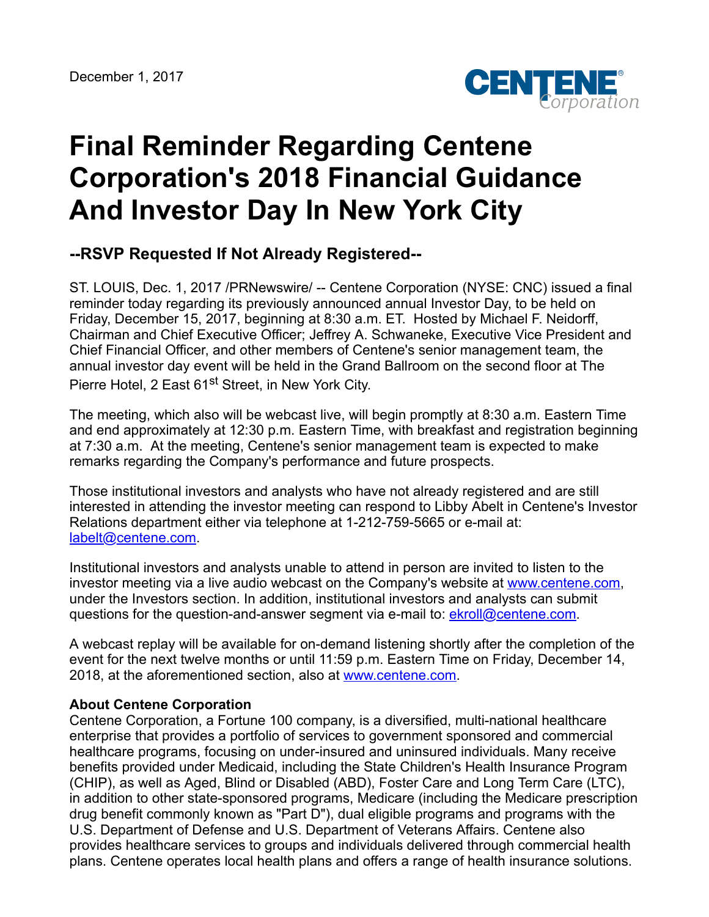

## **Final Reminder Regarding Centene Corporation's 2018 Financial Guidance And Investor Day In New York City**

## **--RSVP Requested If Not Already Registered--**

ST. LOUIS, Dec. 1, 2017 /PRNewswire/ -- Centene Corporation (NYSE: CNC) issued a final reminder today regarding its previously announced annual Investor Day, to be held on Friday, December 15, 2017, beginning at 8:30 a.m. ET. Hosted by Michael F. Neidorff, Chairman and Chief Executive Officer; Jeffrey A. Schwaneke, Executive Vice President and Chief Financial Officer, and other members of Centene's senior management team, the annual investor day event will be held in the Grand Ballroom on the second floor at The Pierre Hotel, 2 East 61<sup>st</sup> Street, in New York City.

The meeting, which also will be webcast live, will begin promptly at 8:30 a.m. Eastern Time and end approximately at 12:30 p.m. Eastern Time, with breakfast and registration beginning at 7:30 a.m. At the meeting, Centene's senior management team is expected to make remarks regarding the Company's performance and future prospects.

Those institutional investors and analysts who have not already registered and are still interested in attending the investor meeting can respond to Libby Abelt in Centene's Investor Relations department either via telephone at 1-212-759-5665 or e-mail at: [labelt@centene.com.](mailto:labelt@centene.com)

Institutional investors and analysts unable to attend in person are invited to listen to the investor meeting via a live audio webcast on the Company's website at [www.centene.com,](http://www.centene.com/) under the Investors section. In addition, institutional investors and analysts can submit questions for the question-and-answer segment via e-mail to: [ekroll@centene.com.](mailto:ekroll@centene.com)

A webcast replay will be available for on-demand listening shortly after the completion of the event for the next twelve months or until 11:59 p.m. Eastern Time on Friday, December 14, 2018, at the aforementioned section, also at [www.centene.com](http://www.centene.com/).

## **About Centene Corporation**

Centene Corporation, a Fortune 100 company, is a diversified, multi-national healthcare enterprise that provides a portfolio of services to government sponsored and commercial healthcare programs, focusing on under-insured and uninsured individuals. Many receive benefits provided under Medicaid, including the State Children's Health Insurance Program (CHIP), as well as Aged, Blind or Disabled (ABD), Foster Care and Long Term Care (LTC), in addition to other state-sponsored programs, Medicare (including the Medicare prescription drug benefit commonly known as "Part D"), dual eligible programs and programs with the U.S. Department of Defense and U.S. Department of Veterans Affairs. Centene also provides healthcare services to groups and individuals delivered through commercial health plans. Centene operates local health plans and offers a range of health insurance solutions.